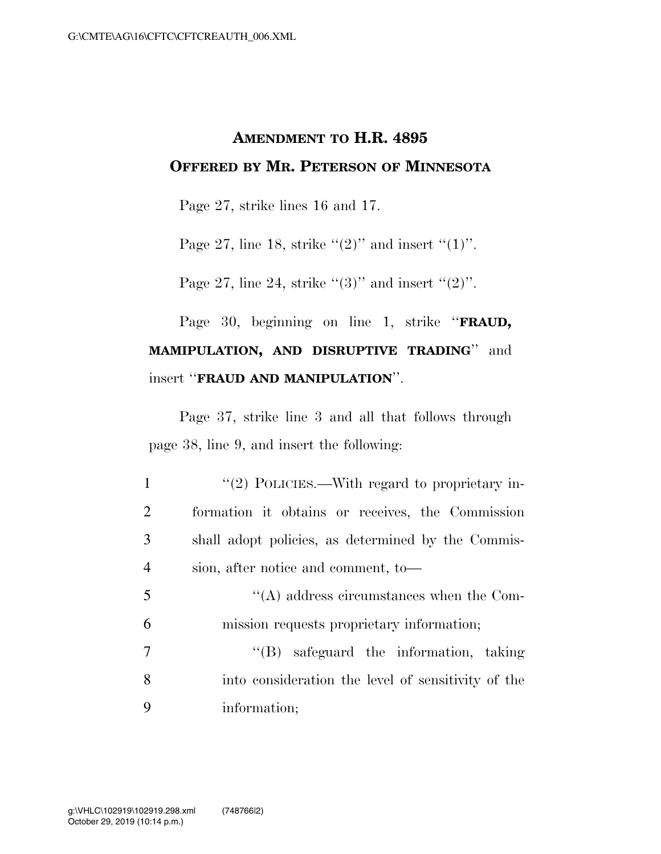## **AMENDMENT TO H.R. 4895 OFFERED BY MR. PETERSON OF MINNESOTA**

Page 27, strike lines 16 and 17.

Page 27, line 18, strike  $\lq(2)$ " and insert  $\lq(1)$ ".

Page 27, line 24, strike  $(3)$ " and insert  $(2)$ ".

## Page 30, beginning on line 1, strike ''**FRAUD, MAMIPULATION, AND DISRUPTIVE TRADING**'' and insert ''**FRAUD AND MANIPULATION**''.

Page 37, strike line 3 and all that follows through page 38, line 9, and insert the following:

| 1              | $\lq(2)$ POLICIES.—With regard to proprietary in-  |
|----------------|----------------------------------------------------|
| $\overline{2}$ | formation it obtains or receives, the Commission   |
| 3 <sup>1</sup> | shall adopt policies, as determined by the Commis- |
| $\overline{4}$ | sion, after notice and comment, to-                |

5 ''(A) address circumstances when the Com-6 mission requests proprietary information;

7 ''(B) safeguard the information, taking 8 into consideration the level of sensitivity of the 9 information;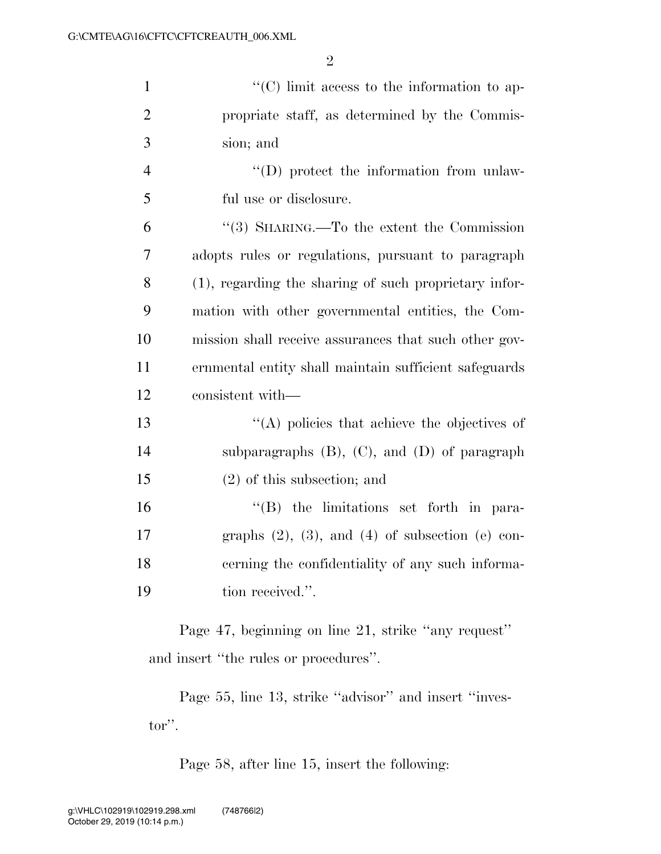2

| $\mathbf{1}$                                                                                 | $\lq\lq$ <sup>"</sup> (C) limit access to the information to ap- |  |
|----------------------------------------------------------------------------------------------|------------------------------------------------------------------|--|
| $\overline{2}$                                                                               | propriate staff, as determined by the Commis-                    |  |
| 3                                                                                            | sion; and                                                        |  |
| $\overline{4}$                                                                               | $\lq\lq$ (D) protect the information from unlaw-                 |  |
| 5                                                                                            | ful use or disclosure.                                           |  |
| 6                                                                                            | "(3) SHARING.—To the extent the Commission                       |  |
| 7                                                                                            | adopts rules or regulations, pursuant to paragraph               |  |
| 8                                                                                            | (1), regarding the sharing of such proprietary infor-            |  |
| 9                                                                                            | mation with other governmental entities, the Com-                |  |
| 10                                                                                           | mission shall receive assurances that such other gov-            |  |
| 11                                                                                           | ernmental entity shall maintain sufficient safeguards            |  |
| 12                                                                                           | consistent with—                                                 |  |
| 13                                                                                           | $\lq\lq$ policies that achieve the objectives of                 |  |
| 14                                                                                           | subparagraphs $(B)$ , $(C)$ , and $(D)$ of paragraph             |  |
| 15                                                                                           | $(2)$ of this subsection; and                                    |  |
| 16                                                                                           | $\lq\lq (B)$ the limitations set forth in para-                  |  |
| 17                                                                                           | graphs $(2)$ , $(3)$ , and $(4)$ of subsection $(e)$ con-        |  |
| 18                                                                                           | cerning the confidentiality of any such informa-                 |  |
| 19                                                                                           | tion received.".                                                 |  |
| Page 47, beginning on line 21, strike "any request"<br>and insert "the rules or procedures". |                                                                  |  |
|                                                                                              |                                                                  |  |

Page 55, line 13, strike "advisor" and insert "investor''.

Page 58, after line 15, insert the following: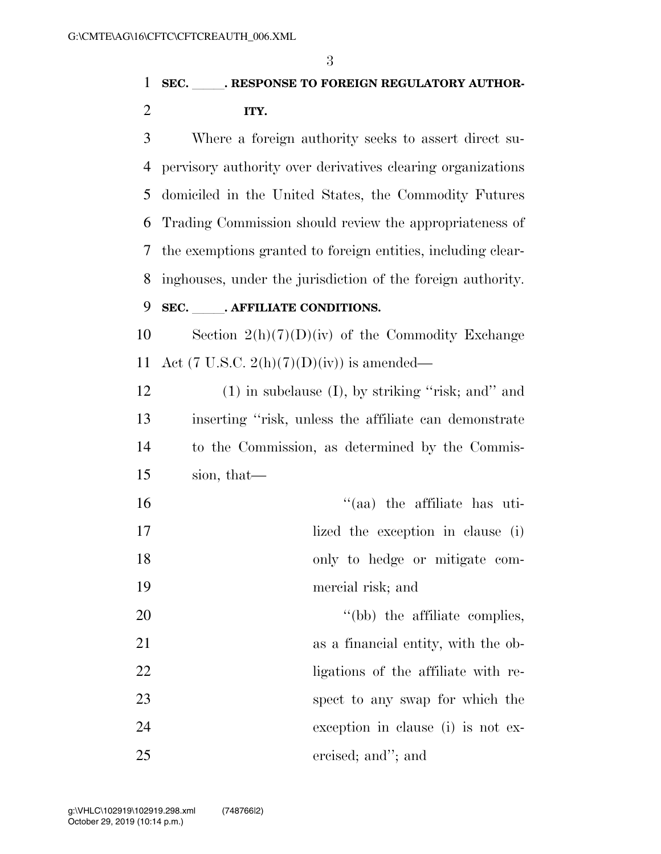3

 Where a foreign authority seeks to assert direct su- pervisory authority over derivatives clearing organizations domiciled in the United States, the Commodity Futures Trading Commission should review the appropriateness of the exemptions granted to foreign entities, including clear-inghouses, under the jurisdiction of the foreign authority.

## 9 **SEC.** . AFFILIATE CONDITIONS.

10 Section  $2(h)(7)(D)(iv)$  of the Commodity Exchange 11 Act (7 U.S.C.  $2(h)(7)(D)(iv)$ ) is amended—

12 (1) in subclause (I), by striking "risk; and" and inserting ''risk, unless the affiliate can demonstrate to the Commission, as determined by the Commis-sion, that—

| 16 | $\cdot$ (aa) the affiliate has uti- |
|----|-------------------------------------|
| 17 | lized the exception in clause (i)   |
| 18 | only to hedge or mitigate com-      |
| 19 | mercial risk; and                   |
| 20 | "(bb) the affiliate complies,       |
| 21 | as a financial entity, with the ob- |
| 22 | ligations of the affiliate with re- |
| 23 | spect to any swap for which the     |
| 24 | exception in clause (i) is not ex-  |
| 25 | ercised; and"; and                  |